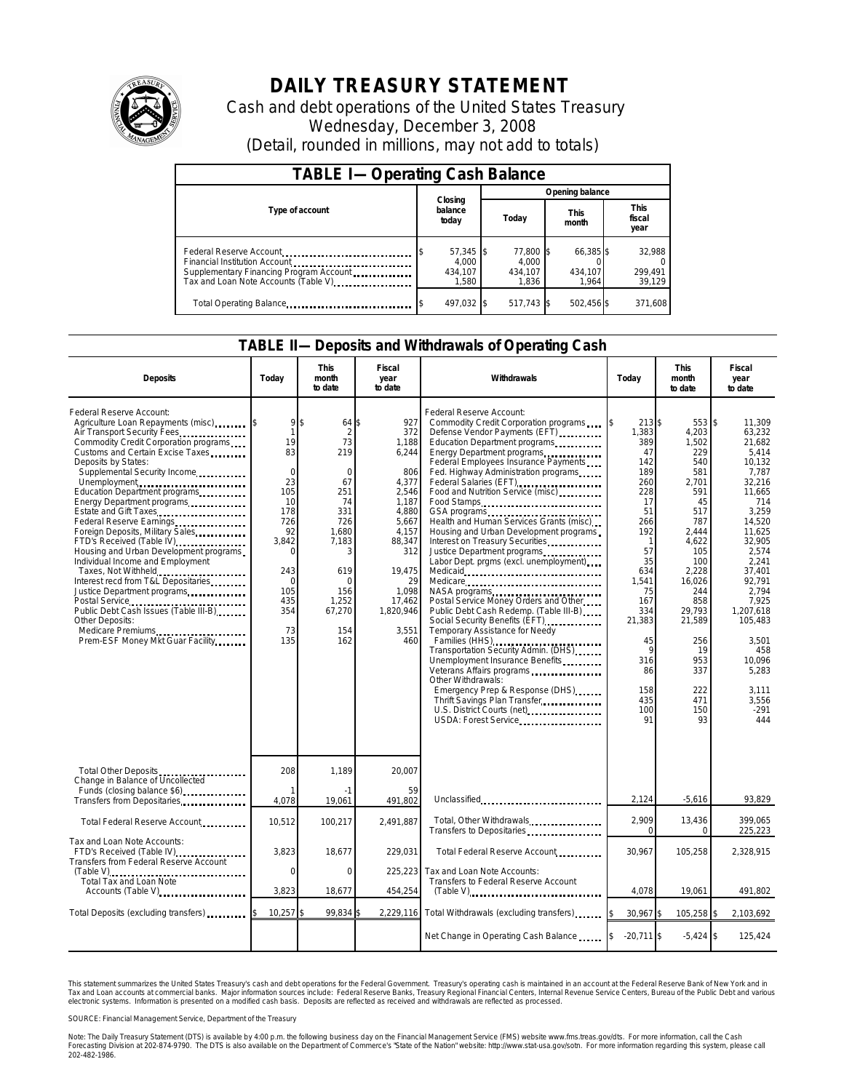

# **DAILY TREASURY STATEMENT**

Cash and debt operations of the United States Treasury Wednesday, December 3, 2008 (Detail, rounded in millions, may not add to totals)

| <b>TABLE I-Operating Cash Balance</b>                                                                                                        |                                          |                                        |                               |                               |  |  |  |
|----------------------------------------------------------------------------------------------------------------------------------------------|------------------------------------------|----------------------------------------|-------------------------------|-------------------------------|--|--|--|
|                                                                                                                                              |                                          | Opening balance                        |                               |                               |  |  |  |
| Type of account                                                                                                                              | Closing<br>balance<br>today              | <b>This</b><br>Today<br>month          |                               | <b>This</b><br>fiscal<br>year |  |  |  |
| Federal Reserve Account<br>Financial Institution Account<br>Supplementary Financing Program Account<br>Tax and Loan Note Accounts (Table V). | $57,345$ \$<br>4.000<br>434.107<br>1.580 | 77.800 \$<br>4.000<br>434.107<br>1.836 | 66,385 \$<br>434.107<br>1.964 | 32,988<br>299,491<br>39,129   |  |  |  |
| Total Operating Balance                                                                                                                      | 497,032 \$                               | 517,743 \$                             | 502,456 \$                    | 371,608                       |  |  |  |

#### **TABLE II—Deposits and Withdrawals of Operating Cash**

| <b>Deposits</b>                                                                                                                                                                                                                                                                                                                                                                                                                                                                                                                                                                                                                                                                                            | Today                                                                                                                                                           | This<br>month<br>to date                                                                                                                                                                 | Fiscal<br>year<br>to date                                                                                                                                                  | <b>Withdrawals</b>                                                                                                                                                                                                                                                                                                                                                                                                                                                                                                                                                                                                                                                                                                                                                                                                                                                                                                                                                                                                 | Today                                                                                                                                                                                                                      | <b>This</b><br>month<br>to date                                                                                                                                                                                              | Fiscal<br>year<br>to date                                                                                                                                                                                                                                                      |
|------------------------------------------------------------------------------------------------------------------------------------------------------------------------------------------------------------------------------------------------------------------------------------------------------------------------------------------------------------------------------------------------------------------------------------------------------------------------------------------------------------------------------------------------------------------------------------------------------------------------------------------------------------------------------------------------------------|-----------------------------------------------------------------------------------------------------------------------------------------------------------------|------------------------------------------------------------------------------------------------------------------------------------------------------------------------------------------|----------------------------------------------------------------------------------------------------------------------------------------------------------------------------|--------------------------------------------------------------------------------------------------------------------------------------------------------------------------------------------------------------------------------------------------------------------------------------------------------------------------------------------------------------------------------------------------------------------------------------------------------------------------------------------------------------------------------------------------------------------------------------------------------------------------------------------------------------------------------------------------------------------------------------------------------------------------------------------------------------------------------------------------------------------------------------------------------------------------------------------------------------------------------------------------------------------|----------------------------------------------------------------------------------------------------------------------------------------------------------------------------------------------------------------------------|------------------------------------------------------------------------------------------------------------------------------------------------------------------------------------------------------------------------------|--------------------------------------------------------------------------------------------------------------------------------------------------------------------------------------------------------------------------------------------------------------------------------|
| Federal Reserve Account:<br>Agriculture Loan Repayments (misc)<br>Air Transport Security Fees<br>Commodity Credit Corporation programs<br>Customs and Certain Excise Taxes<br>Deposits by States:<br>Supplemental Security Income<br>Unemployment<br>Education Department programs<br>Energy Department programs<br>Estate and Gift Taxes<br>Foreign Deposits, Military Sales<br>FTD's Received (Table IV)<br>Housing and Urban Development programs<br>Individual Income and Employment<br>Taxes, Not Withheld<br>Interest recd from T&L Depositaries<br>Justice Department programs<br>Public Debt Cash Issues (Table III-B)<br>Other Deposits:<br>Medicare Premiums<br>Prem-ESF Money Mkt Guar Facility | 9<br>$\overline{1}$<br>19<br>83<br>$\mathbf 0$<br>23<br>105<br>10<br>178<br>726<br>92<br>3.842<br>$\Omega$<br>243<br>$\Omega$<br>105<br>435<br>354<br>73<br>135 | \$<br>$64$ $\bar{\text{S}}$<br>$\mathcal{P}$<br>73<br>219<br>$\Omega$<br>67<br>251<br>74<br>331<br>726<br>1,680<br>7,183<br>3<br>619<br>$\Omega$<br>156<br>1,252<br>67,270<br>154<br>162 | 927<br>372<br>1,188<br>6,244<br>806<br>4,377<br>2,546<br>1.187<br>4,880<br>5,667<br>4,157<br>88,347<br>312<br>19,475<br>29<br>1,098<br>17,462<br>1,820,946<br>3.551<br>460 | Federal Reserve Account:<br>Commodity Credit Corporation programs<br>Defense Vendor Payments (EFT)<br>Education Department programs<br>Energy Department programs<br>Federal Employees Insurance Payments<br>Fed. Highway Administration programs<br>Federal Salaries (EFT)<br>Food and Nutrition Service (misc)<br><br>Food Stamps<br>GSA programs<br>Health and Human Services Grants (misc)<br>Housing and Urban Development programs.<br>Interest on Treasury Securities<br>Justice Department programs<br>Labor Dept. prgms (excl. unemployment)<br>Medicare<br>NASA programs<br>Postal Service Money Orders and Other<br>Public Debt Cash Redemp. (Table III-B)<br>Social Security Benefits (EFT)<br>Temporary Assistance for Needy<br>Families (HHS)<br>Transportation Security Admin. (DHS)<br>Unemployment Insurance Benefits<br>Veterans Affairs programs<br>Other Withdrawals:<br>Emergency Prep & Response (DHS)<br>Thrift Savings Plan Transfer<br>U.S. District Courts (net)<br>USDA: Forest Service | 213 \$<br>1.383<br>389<br>47<br>142<br>189<br>260<br>228<br>17<br>51<br>266<br>192<br>$\mathbf{1}$<br>57<br>35<br>634<br>1,541<br>75<br>167<br>334<br>21,383<br>45<br>$\mathsf{Q}$<br>316<br>86<br>158<br>435<br>100<br>91 | 553 \$<br>4.203<br>1,502<br>229<br>540<br>581<br>2.701<br>591<br>45<br>517<br>787<br>2.444<br>4.622<br>105<br>100<br>2,228<br>16.026<br>244<br>858<br>29,793<br>21,589<br>256<br>19<br>953<br>337<br>222<br>471<br>150<br>93 | 11.309<br>63.232<br>21,682<br>5.414<br>10.132<br>7.787<br>32.216<br>11.665<br>714<br>3,259<br>14,520<br>11.625<br>32.905<br>2,574<br>2.241<br>37.401<br>92.791<br>2,794<br>7.925<br>1,207,618<br>105.483<br>3,501<br>458<br>10,096<br>5,283<br>3.111<br>3.556<br>$-291$<br>444 |
| Total Other Deposits<br>Change in Balance of Uncollected<br>Funds (closing balance \$6)                                                                                                                                                                                                                                                                                                                                                                                                                                                                                                                                                                                                                    | 208                                                                                                                                                             | 1.189<br>$-1$                                                                                                                                                                            | 20.007<br>59                                                                                                                                                               |                                                                                                                                                                                                                                                                                                                                                                                                                                                                                                                                                                                                                                                                                                                                                                                                                                                                                                                                                                                                                    |                                                                                                                                                                                                                            |                                                                                                                                                                                                                              |                                                                                                                                                                                                                                                                                |
| Transfers from Depositaries                                                                                                                                                                                                                                                                                                                                                                                                                                                                                                                                                                                                                                                                                | 4,078                                                                                                                                                           | 19,061                                                                                                                                                                                   | 491,802                                                                                                                                                                    | Unclassified                                                                                                                                                                                                                                                                                                                                                                                                                                                                                                                                                                                                                                                                                                                                                                                                                                                                                                                                                                                                       | 2,124                                                                                                                                                                                                                      | $-5,616$                                                                                                                                                                                                                     | 93,829                                                                                                                                                                                                                                                                         |
| Total Federal Reserve Account                                                                                                                                                                                                                                                                                                                                                                                                                                                                                                                                                                                                                                                                              | 10,512                                                                                                                                                          | 100,217                                                                                                                                                                                  | 2,491,887                                                                                                                                                                  | Total, Other Withdrawals<br>Transfers to Depositaries                                                                                                                                                                                                                                                                                                                                                                                                                                                                                                                                                                                                                                                                                                                                                                                                                                                                                                                                                              | 2,909<br>$\Omega$                                                                                                                                                                                                          | 13,436<br>$\Omega$                                                                                                                                                                                                           | 399.065<br>225,223                                                                                                                                                                                                                                                             |
| Tax and Loan Note Accounts:<br>FTD's Received (Table IV)<br>Transfers from Federal Reserve Account                                                                                                                                                                                                                                                                                                                                                                                                                                                                                                                                                                                                         | 3,823                                                                                                                                                           | 18,677                                                                                                                                                                                   | 229.031                                                                                                                                                                    | Total Federal Reserve Account                                                                                                                                                                                                                                                                                                                                                                                                                                                                                                                                                                                                                                                                                                                                                                                                                                                                                                                                                                                      | 30.967                                                                                                                                                                                                                     | 105,258                                                                                                                                                                                                                      | 2.328.915                                                                                                                                                                                                                                                                      |
| (Table V)<br>Total Tax and Loan Note                                                                                                                                                                                                                                                                                                                                                                                                                                                                                                                                                                                                                                                                       | $\mathbf 0$                                                                                                                                                     | $\mathbf 0$                                                                                                                                                                              | 225,223                                                                                                                                                                    | Tax and Loan Note Accounts:<br>Transfers to Federal Reserve Account                                                                                                                                                                                                                                                                                                                                                                                                                                                                                                                                                                                                                                                                                                                                                                                                                                                                                                                                                |                                                                                                                                                                                                                            |                                                                                                                                                                                                                              |                                                                                                                                                                                                                                                                                |
| Accounts (Table V)                                                                                                                                                                                                                                                                                                                                                                                                                                                                                                                                                                                                                                                                                         | 3,823                                                                                                                                                           | 18,677                                                                                                                                                                                   | 454,254                                                                                                                                                                    | $(Table V)$                                                                                                                                                                                                                                                                                                                                                                                                                                                                                                                                                                                                                                                                                                                                                                                                                                                                                                                                                                                                        | 4,078                                                                                                                                                                                                                      | 19,061                                                                                                                                                                                                                       | 491,802                                                                                                                                                                                                                                                                        |
| Total Deposits (excluding transfers)                                                                                                                                                                                                                                                                                                                                                                                                                                                                                                                                                                                                                                                                       | 10,257                                                                                                                                                          | 99.834                                                                                                                                                                                   |                                                                                                                                                                            | 2,229,116 Total Withdrawals (excluding transfers)                                                                                                                                                                                                                                                                                                                                                                                                                                                                                                                                                                                                                                                                                                                                                                                                                                                                                                                                                                  | $30.967$ \$                                                                                                                                                                                                                | 105,258 \$                                                                                                                                                                                                                   | 2,103,692                                                                                                                                                                                                                                                                      |
|                                                                                                                                                                                                                                                                                                                                                                                                                                                                                                                                                                                                                                                                                                            |                                                                                                                                                                 |                                                                                                                                                                                          |                                                                                                                                                                            | Net Change in Operating Cash Balance                                                                                                                                                                                                                                                                                                                                                                                                                                                                                                                                                                                                                                                                                                                                                                                                                                                                                                                                                                               | $-20,711$ \$<br>I\$                                                                                                                                                                                                        | $-5,424$ \$                                                                                                                                                                                                                  | 125,424                                                                                                                                                                                                                                                                        |

This statement summarizes the United States Treasury's cash and debt operations for the Federal Government. Treasury's operating cash is maintained in an account at the Federal Reserve Bank of New York and in<br>Tax and Loan electronic systems. Information is presented on a modified cash basis. Deposits are reflected as received and withdrawals are reflected as processed.

SOURCE: Financial Management Service, Department of the Treasury

Note: The Daily Treasury Statement (DTS) is available by 4:00 p.m. the following business day on the Financial Management Service (FMS) website www.fms.treas.gov/dts. For more information, call the Cash Forecasting Division at 202-874-9790. The DTS is also available on the Department of Commerce's "State of the Nation" website: http://www.stat-usa.gov/sotn. For more information regarding this system, please call<br>202-482-1